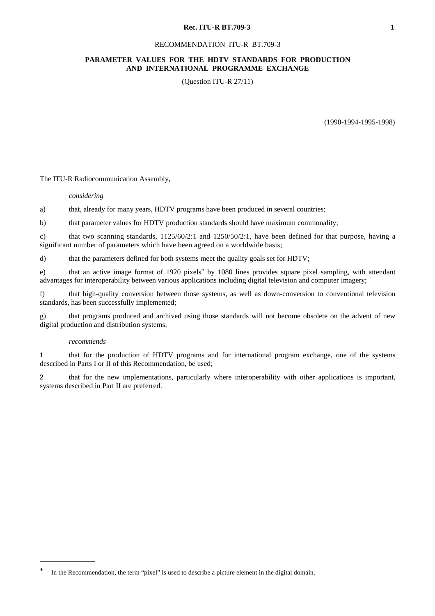#### **Rec. ITU-R BT.709-3** 1

#### RECOMMENDATION ITU-R BT.709-3

### **PARAMETER VALUES FOR THE HDTV STANDARDS FOR PRODUCTION AND INTERNATIONAL PROGRAMME EXCHANGE**

(Question ITU-R 27/11)

(1990-1994-1995-1998)

The ITU-R Radiocommunication Assembly,

#### *considering*

a) that, already for many years, HDTV programs have been produced in several countries;

b) that parameter values for HDTV production standards should have maximum commonality;

c) that two scanning standards, 1125/60/2:1 and 1250/50/2:1, have been defined for that purpose, having a significant number of parameters which have been agreed on a worldwide basis;

d) that the parameters defined for both systems meet the quality goals set for HDTV;

e) that an active image format of 1920 pixels\* by 1080 lines provides square pixel sampling, with attendant advantages for interoperability between various applications including digital television and computer imagery;

f) that high-quality conversion between those systems, as well as down-conversion to conventional television standards, has been successfully implemented;

g) that programs produced and archived using those standards will not become obsolete on the advent of new digital production and distribution systems,

#### *recommends*

**\_\_\_\_\_\_\_\_\_\_\_\_\_\_\_**

**1** that for the production of HDTV programs and for international program exchange, one of the systems described in Parts I or II of this Recommendation, be used;

**2** that for the new implementations, particularly where interoperability with other applications is important, systems described in Part II are preferred.

In the Recommendation, the term "pixel" is used to describe a picture element in the digital domain.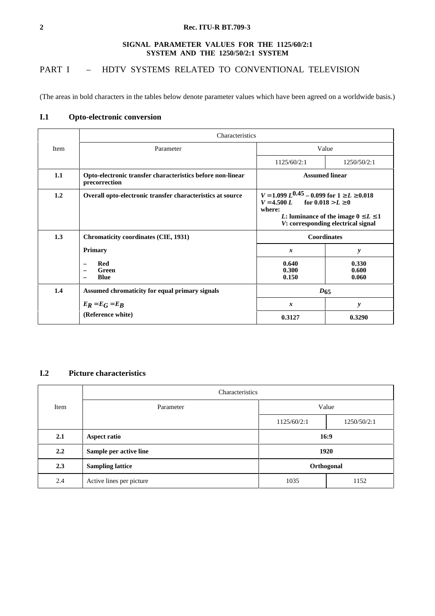## **2 Rec. ITU-R BT.709-3**

### **SIGNAL PARAMETER VALUES FOR THE 1125/60/2:1 SYSTEM AND THE 1250/50/2:1 SYSTEM**

# PART I - HDTV SYSTEMS RELATED TO CONVENTIONAL TELEVISION

(The areas in bold characters in the tables below denote parameter values which have been agreed on a worldwide basis.)

## **I.1 Opto-electronic conversion**

|      | Characteristics                                                             |                                                                                                                                                                                                  |                         |  |  |  |
|------|-----------------------------------------------------------------------------|--------------------------------------------------------------------------------------------------------------------------------------------------------------------------------------------------|-------------------------|--|--|--|
| Item | Parameter                                                                   |                                                                                                                                                                                                  | Value                   |  |  |  |
|      |                                                                             | 1125/60/2:1                                                                                                                                                                                      | 1250/50/2:1             |  |  |  |
| 1.1  | Opto-electronic transfer characteristics before non-linear<br>precorrection | <b>Assumed linear</b>                                                                                                                                                                            |                         |  |  |  |
| 1.2  | Overall opto-electronic transfer characteristics at source                  | $V = 1.099 L^{0.45} - 0.099$ for $1 \ge L \ge 0.018$<br>$V = 4.500 L$ for $0.018 > L \ge 0$<br>where:<br><i>L</i> : luminance of the image $0 \le L \le 1$<br>V: corresponding electrical signal |                         |  |  |  |
| 1.3  | <b>Chromaticity coordinates (CIE, 1931)</b>                                 | Coordinates                                                                                                                                                                                      |                         |  |  |  |
|      | <b>Primary</b>                                                              | $\boldsymbol{x}$                                                                                                                                                                                 | y                       |  |  |  |
|      | <b>Red</b><br>Green<br>$\overline{\phantom{0}}$<br><b>Blue</b>              | 0.640<br>0.300<br>0.150                                                                                                                                                                          | 0.330<br>0.600<br>0.060 |  |  |  |
| 1.4  | Assumed chromaticity for equal primary signals                              | $D_{65}$                                                                                                                                                                                         |                         |  |  |  |
|      | $E_R = E_G = E_B$                                                           | x                                                                                                                                                                                                | $\mathbf{y}$            |  |  |  |
|      | (Reference white)                                                           | 0.3127                                                                                                                                                                                           | 0.3290                  |  |  |  |

## **I.2 Picture characteristics**

|      | Characteristics                       |                                     |      |  |
|------|---------------------------------------|-------------------------------------|------|--|
| Item | Parameter                             | Value<br>1125/60/2:1<br>1250/50/2:1 |      |  |
|      |                                       |                                     |      |  |
| 2.1  | 16:9<br>Aspect ratio                  |                                     |      |  |
| 2.2  | Sample per active line<br>1920        |                                     |      |  |
| 2.3  | <b>Sampling lattice</b><br>Orthogonal |                                     |      |  |
| 2.4  | Active lines per picture              | 1035                                | 1152 |  |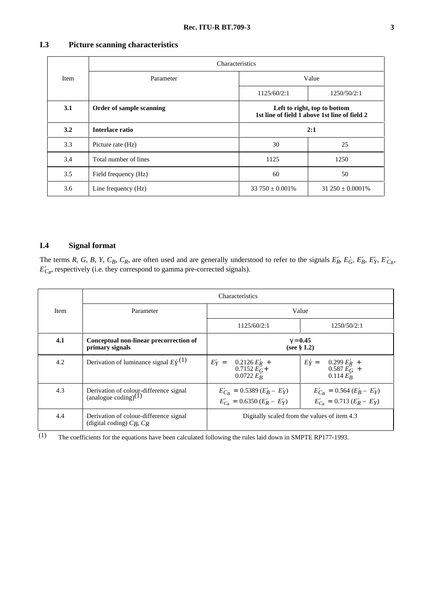# **I.3 Picture scanning characteristics**

|             | Characteristics          |                                                                               |                        |  |
|-------------|--------------------------|-------------------------------------------------------------------------------|------------------------|--|
| <b>Item</b> | Parameter                | Value<br>1125/60/2:1<br>1250/50/2:1                                           |                        |  |
|             |                          |                                                                               |                        |  |
| 3.1         | Order of sample scanning | Left to right, top to bottom<br>1st line of field 1 above 1st line of field 2 |                        |  |
| 3.2         | Interlace ratio          | 2:1                                                                           |                        |  |
| 3.3         | Picture rate (Hz)        | 30<br>25                                                                      |                        |  |
| 3.4         | Total number of lines    | 1125<br>1250                                                                  |                        |  |
| 3.5         | Field frequency (Hz)     | 60                                                                            | 50                     |  |
| 3.6         | Line frequency (Hz)      | $33750 \pm 0.001\%$                                                           | $31\,250 \pm 0.0001\%$ |  |

## **I.4 Signal format**

The terms *R*, *G*, *B*, *Y*, *C<sub>B</sub>*, *C<sub>R</sub>*, are often used and are generally understood to refer to the signals  $E'_R$ ,  $E'_G$ ,  $E'_B$ ,  $E'_Y$ ,  $E'_{C_B}$ ,  $E'_{\text{CR}}$ , respectively (i.e. they correspond to gamma pre-corrected signals).

|      |                                                                            | <b>Characteristics</b>                                                 |                                                                       |  |
|------|----------------------------------------------------------------------------|------------------------------------------------------------------------|-----------------------------------------------------------------------|--|
| Item | Parameter                                                                  | Value                                                                  |                                                                       |  |
|      |                                                                            | 1125/60/2:1                                                            | 1250/50/2:1                                                           |  |
| 4.1  | Conceptual non-linear precorrection of<br>primary signals                  | $\gamma = 0.45$<br>(see $\S$ 1.2)                                      |                                                                       |  |
| 4.2  | Derivation of luminance signal $E\dot{\gamma}^{(1)}$                       | $E'_Y =$<br>$0.2126 E_R'$ +<br>0.7152 $E'_G$ +<br>$0.0722 E'_{R}$      | $E\acute{\gamma}=$<br>$0.299 E_R'$ +<br>$0.587 EG' +$<br>$0.114 E_R'$ |  |
| 4.3  | Derivation of colour-difference signal<br>(analogue coding) <sup>(1)</sup> | $E'_{C_B} = 0.5389 (E'_B - E'_Y)$<br>$E'_{C_P} = 0.6350 (E'_R - E'_Y)$ | $E'_{C_B} = 0.564 (E'_B - E'_Y)$<br>$E'_{C_p} = 0.713 (E'_R - E'_Y)$  |  |
| 4.4  | Derivation of colour-difference signal<br>(digital coding) $C_B$ , $C_R$   | Digitally scaled from the values of item 4.3                           |                                                                       |  |

(1) The coefficients for the equations have been calculated following the rules laid down in SMPTE RP177-1993.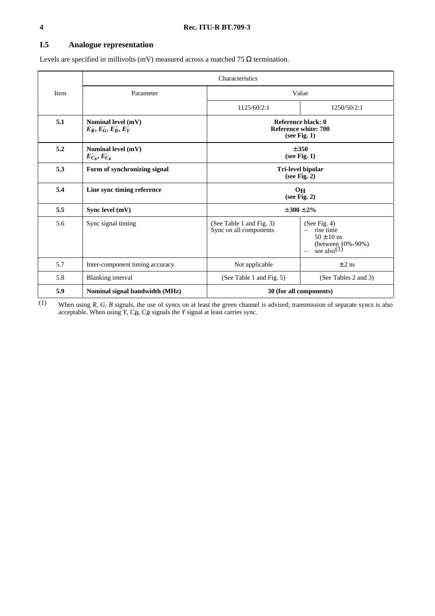# **I.5 Analogue representation**

Levels are specified in millivolts (mV) measured across a matched 75  $\Omega$  termination.

| Item | Parameter                                      | Value                                                      |                                                                                                    |  |
|------|------------------------------------------------|------------------------------------------------------------|----------------------------------------------------------------------------------------------------|--|
|      |                                                | 1125/60/2:1                                                | 1250/50/2:1                                                                                        |  |
| 5.1  | Nominal level (mV)<br>$E'_R, E'_G, E'_B, E'_Y$ | Reference black: 0<br>Reference white: 700<br>(see Fig. 1) |                                                                                                    |  |
| 5.2  | Nominal level (mV)<br>$E'_{C_R}, E'_{C_R}$     | ± 350<br>(see Fig. 1)                                      |                                                                                                    |  |
| 5.3  | Form of synchronizing signal                   | Tri-level bipolar<br>(see Fig. 2)                          |                                                                                                    |  |
| 5.4  | Line sync timing reference                     | $O_{\rm H}$<br>(see Fig. 2)                                |                                                                                                    |  |
| 5.5  | Sync level (mV)                                |                                                            | ± 300 ± 2%                                                                                         |  |
| 5.6  | Sync signal timing                             | (See Table 1 and Fig. 3)<br>Sync on all components         | (See Fig. 4)<br>rise time<br>$50 \pm 10$ ns<br>(between $10\% - 90\%$ )<br>see also <sup>(1)</sup> |  |
| 5.7  | Inter-component timing accuracy                | Not applicable                                             | $\pm 2$ ns                                                                                         |  |
| 5.8  | <b>Blanking</b> interval                       | (See Table 1 and Fig. 5)                                   | (See Tables 2 and 3)                                                                               |  |
| 5.9  | Nominal signal bandwidth (MHz)                 | 30 (for all components)                                    |                                                                                                    |  |

(1) When using *R*, *G*, *B* signals, the use of syncs on at least the green channel is advised; transmission of separate syncs is also acceptable. When using *Y*, *CB*, *CR* signals the *Y* signal at least carries sync.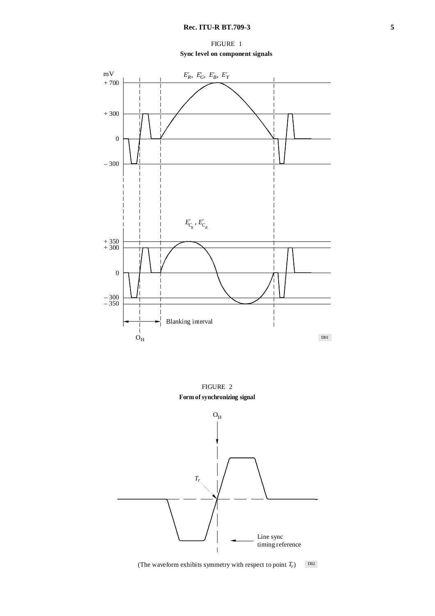FIGURE 1 **Sync level on component signals**





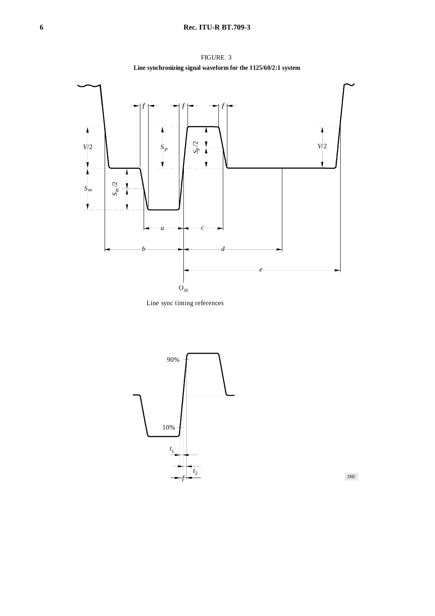FIGURE 3 **Line synchronizing signal waveform for the 1125/60/2:1 system**







D03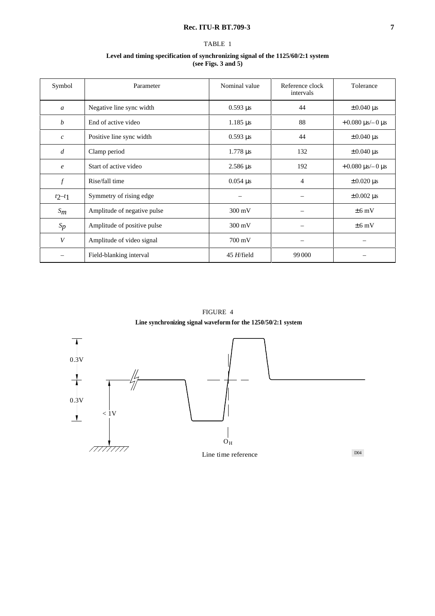## **Rec. ITU-R BT.709-3 7**

## TABLE 1

#### **Level and timing specification of synchronizing signal of the 1125/60/2:1 system (see Figs. 3 and 5)**

| Symbol           | Parameter                   | Nominal value            | Reference clock<br>intervals | Tolerance                    |
|------------------|-----------------------------|--------------------------|------------------------------|------------------------------|
| $\mathfrak{a}$   | Negative line sync width    | $0.593 \,\mu s$          | 44                           | $\pm 0.040 \,\mu s$          |
| b                | End of active video         | $1.185 \,\mu s$          | 88                           | $+0.080 \,\mu s/-0 \,\mu s$  |
| $\boldsymbol{c}$ | Positive line sync width    | $0.593 \,\mu s$          | 44                           | $\pm 0.040$ µs               |
| $\overline{d}$   | Clamp period                | $1.778 \,\mu s$          | 132                          | $\pm 0.040$ µs               |
| $\epsilon$       | Start of active video       | $2.586 \,\mu s$          | 192                          | $+0.080 \,\mu s$ /-0 $\mu s$ |
| $\boldsymbol{f}$ | Rise/fall time              | $0.054 \,\mu s$          | 4                            | $\pm 0.020 \,\mu s$          |
| $t2-t1$          | Symmetry of rising edge     | $\overline{\phantom{0}}$ | $\overline{\phantom{m}}$     | $\pm 0.002 \,\mu s$          |
| $S_m$            | Amplitude of negative pulse | 300 mV                   |                              | $\pm 6$ mV                   |
| $S_p$            | Amplitude of positive pulse | 300 mV                   |                              | $\pm 6$ mV                   |
| V                | Amplitude of video signal   | $700 \text{ mV}$         |                              |                              |
|                  | Field-blanking interval     | 45 H/field               | 99 000                       |                              |

FIGURE 4 **Line synchronizing signal waveform for the 1250/50/2:1 system**

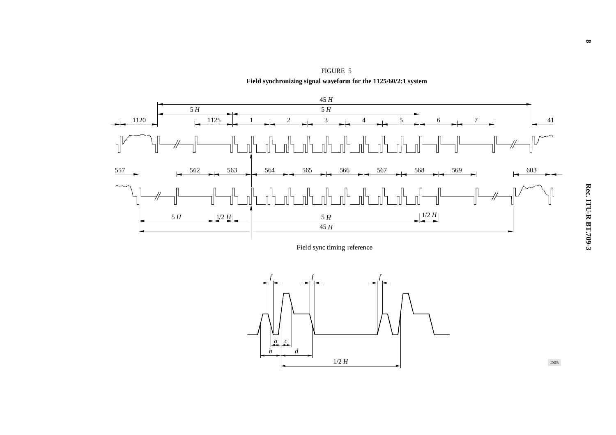

FIGURE 5 **Field synchronizing signal waveform for the 1125/60/2:1 system**

Field sync timing reference



D05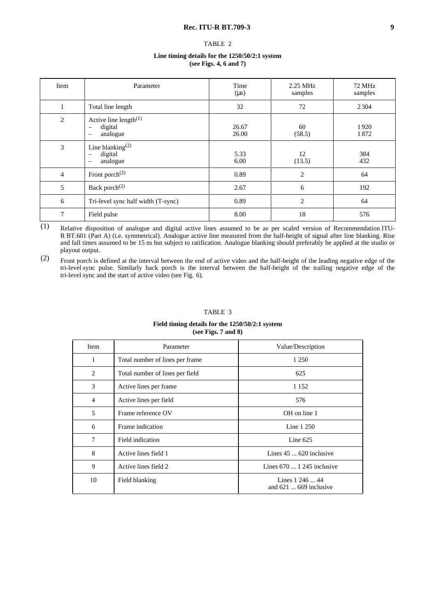#### TABLE 2

#### **Line timing details for the 1250/50/2:1 system (see Figs. 4, 6 and 7)**

| Item           | Parameter                                                                                               | Time<br>$(\mu s)$ | 2.25 MHz<br>samples | 72 MHz<br>samples |
|----------------|---------------------------------------------------------------------------------------------------------|-------------------|---------------------|-------------------|
| $\perp$        | Total line length                                                                                       | 32                | 72                  | 2 3 0 4           |
| 2              | Active line length $(1)$<br>digital<br>$\overline{\phantom{0}}$<br>analogue<br>$\overline{\phantom{0}}$ | 26.67<br>26.00    | 60<br>(58.5)        | 1920<br>1872      |
| 3              | Line blanking <sup><math>(2)</math></sup><br>digital<br>analogue<br>$\overline{\phantom{0}}$            | 5.33<br>6.00      | 12<br>(13.5)        | 384<br>432        |
| $\overline{4}$ | Front porch $^{(2)}$                                                                                    | 0.89              | $\overline{c}$      | 64                |
| 5              | Back porch <sup>(2)</sup>                                                                               | 2.67              | 6                   | 192               |
| 6              | Tri-level sync half width (T-sync)                                                                      | 0.89              | $\overline{2}$      | 64                |
| 7              | Field pulse                                                                                             | 8.00              | 18                  | 576               |

 $\overline{(1)}$  Relative disposition of analogue and digital active lines assumed to be as per scaled version of Recommendation ITU-R BT.601 (Part A) (i.e. symmetrical). Analogue active line measured from the half-height of signal after line blanking. Rise and fall times assumed to be 15 ns but subject to ratification. Analogue blanking should preferably be applied at the studio or playout output.

(2) Front porch is defined at the interval between the end of active video and the half-height of the leading negative edge of the tri-level sync pulse. Similarly back porch is the interval between the half-height of the trailing negative edge of the tri-level sync and the start of active video (see Fig. 6).

#### TABLE 3

#### **Field timing details for the 1250/50/2:1 system (see Figs. 7 and 8)**

| Item           | Parameter                       | Value/Description                          |
|----------------|---------------------------------|--------------------------------------------|
| 1              | Total number of lines per frame | 1 2 5 0                                    |
| $\overline{c}$ | Total number of lines per field | 625                                        |
| 3              | Active lines per frame          | 1 1 5 2                                    |
| $\overline{4}$ | Active lines per field          | 576                                        |
| 5              | Frame reference OV              | OH on line 1                               |
| 6              | Frame indication                | Line 1 250                                 |
| 7              | Field indication                | Line $625$                                 |
| 8              | Active lines field 1            | Lines $45 \dots 620$ inclusive             |
| 9              | Active lines field 2            | Lines $670$ 1 245 inclusive                |
| 10             | Field blanking                  | Lines 1 246  44<br>and $621$ 669 inclusive |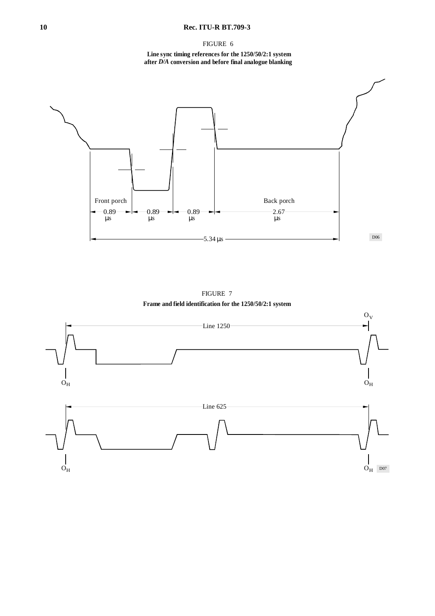## **10 Rec. ITU-R BT.709-3**

FIGURE 6

**Line sync timing references for the 1250/50/2:1 system after** *D/A* **conversion and before final analogue blanking**





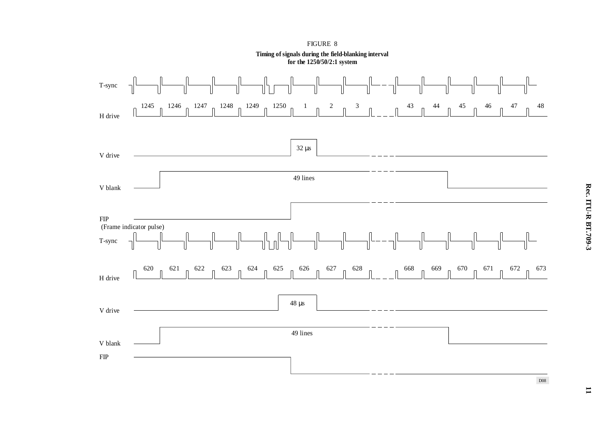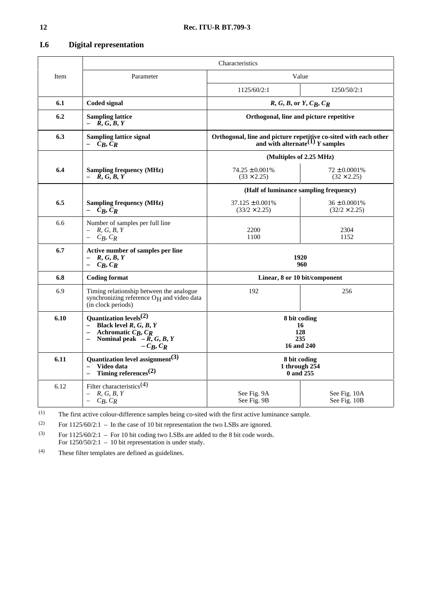| <b>I.6</b> | <b>Digital representation</b> |    |
|------------|-------------------------------|----|
|            |                               | 'n |
| Item       | Parameter                     |    |
|            |                               |    |

|      |                                                                                                                                                                 | Characteristics                                                                                          |                                           |  |  |
|------|-----------------------------------------------------------------------------------------------------------------------------------------------------------------|----------------------------------------------------------------------------------------------------------|-------------------------------------------|--|--|
| Item | Parameter                                                                                                                                                       |                                                                                                          | Value                                     |  |  |
|      |                                                                                                                                                                 | 1125/60/2:1                                                                                              | 1250/50/2:1                               |  |  |
| 6.1  | Coded signal                                                                                                                                                    | $R, G, B,$ or $Y, C_B, C_R$                                                                              |                                           |  |  |
| 6.2  | <b>Sampling lattice</b><br>$- R, G, B, Y$                                                                                                                       |                                                                                                          | Orthogonal, line and picture repetitive   |  |  |
| 6.3  | <b>Sampling lattice signal</b><br>$-C_R, C_R$                                                                                                                   | Orthogonal, line and picture repetitive co-sited with each other<br>and with alternate $(1)$ $Y$ samples |                                           |  |  |
|      |                                                                                                                                                                 |                                                                                                          | (Multiples of 2.25 MHz)                   |  |  |
| 6.4  | <b>Sampling frequency (MHz)</b><br>$- R, G, B, Y$                                                                                                               | $74.25 \pm 0.001\%$<br>$(33 \times 2.25)$                                                                | $72 \pm 0.0001\%$<br>$(32 \times 2.25)$   |  |  |
|      |                                                                                                                                                                 |                                                                                                          | (Half of luminance sampling frequency)    |  |  |
| 6.5  | <b>Sampling frequency (MHz)</b><br>$- C_R, C_R$                                                                                                                 | $37.125 \pm 0.001\%$<br>$(33/2 \times 2.25)$                                                             | $36 \pm 0.0001\%$<br>$(32/2 \times 2.25)$ |  |  |
| 6.6  | Number of samples per full line<br>$- R, G, B, Y$<br>$-C_B, C_R$                                                                                                | 2200<br>1100                                                                                             | 2304<br>1152                              |  |  |
| 6.7  | Active number of samples per line<br>R, G, B, Y<br>$C_R, C_R$                                                                                                   |                                                                                                          | 1920<br>960                               |  |  |
| 6.8  | <b>Coding format</b>                                                                                                                                            | Linear, 8 or 10 bit/component                                                                            |                                           |  |  |
| 6.9  | Timing relationship between the analogue<br>synchronizing reference O <sub>H</sub> and video data<br>(in clock periods)                                         | 192                                                                                                      | 256                                       |  |  |
| 6.10 | Ouantization levels <sup><math>(2)</math></sup><br>- Black level $R, G, B, Y$<br>Achromatic $C_R$ , $C_R$<br>Nominal peak $-\tilde{R}$ , G, B, Y<br>$-C_B, C_R$ | 8 bit coding<br>16<br>128<br>235<br>16 and 240                                                           |                                           |  |  |
| 6.11 | Quantization level assignment <sup>(3)</sup><br>Video data<br>$\equiv$<br>Timing references <sup>(2)</sup><br>$\overline{a}$                                    | 8 bit coding<br>1 through $2\bar{5}4$<br>0 and 255                                                       |                                           |  |  |
| 6.12 | Filter characteristics <sup>(4)</sup><br>$- R, G, B, Y$<br>$-C_B, C_R$                                                                                          | See Fig. 9A<br>See Fig. 9B                                                                               | See Fig. 10A<br>See Fig. 10B              |  |  |

(1) The first active colour-difference samples being co-sited with the first active luminance sample.

(2) For  $1125/60/2:1$  – In the case of 10 bit representation the two LSBs are ignored.

 $^{(3)}$  For 1125/60/2:1 – For 10 bit coding two LSBs are added to the 8 bit code words. For 1250/50/2:1 – 10 bit representation is under study.

(4) These filter templates are defined as guidelines.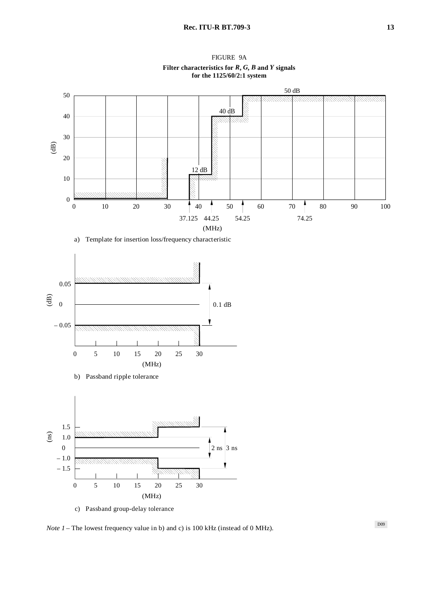

FIGURE 9A **Filter characteristics for**  $R$ **,**  $G$ **,**  $B$  **and**  $Y$  **signals for the 1125/60/2:1 system**

a) Template for insertion loss/frequency characteristic



c) Passband group-delay tolerance

*Note 1* – The lowest frequency value in b) and c) is 100 kHz (instead of 0 MHz).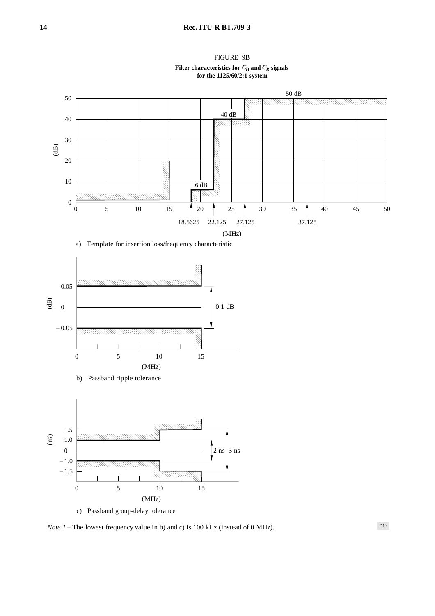FIGURE 9B Filter characteristics for  $C_{\pmb{B}}$  and  $C_{\pmb{R}}$  signals **for the 1125/60/2:1 system**









c) Passband group-delay tolerance

*Note 1* – The lowest frequency value in b) and c) is 100 kHz (instead of 0 MHz).

D10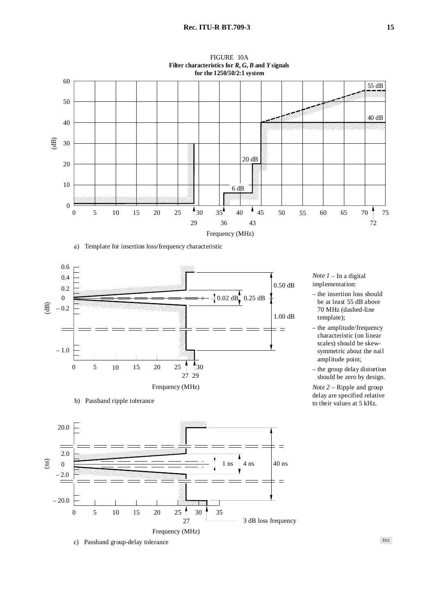

FIGURE 10A

a) Template for insertion loss/frequency characteristic



b) Passband ripple tolerance



*Note 1* – In a digital implementation:

- the insertion loss should be at least 55 dB above 70 MHz (dashed-line template);
- the amplitude/frequency – characteristic (on linear scales) should be skewsymmetric about the nail amplitude point;
- the group delay distortion should be zero by design.

*Note 2* – Ripple and group delay are specified relative to their values at 5 kHz.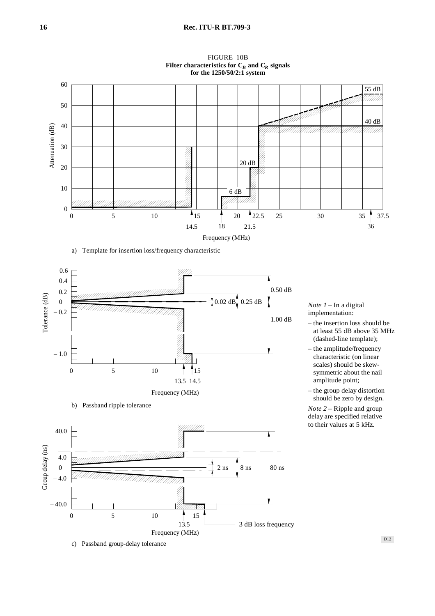

FIGURE 10B Filter characteristics for  $\mathrm{C}_B$  and  $\mathrm{C}_R$  signals

#### a) Template for insertion loss/frequency characteristic



b) Passband ripple tolerance



c) Passband group-delay tolerance

*Note 1* – In a digital implementation:

- the insertion loss should be – at least 55 dB above 35 MHz (dashed-line template);
- the amplitude/frequency – characteristic (on linear scales) should be skewsymmetric about the nail amplitude point;
- the group delay distortion should be zero by design.

*Note 2* – Ripple and group delay are specified relative to their values at 5 kHz.

D12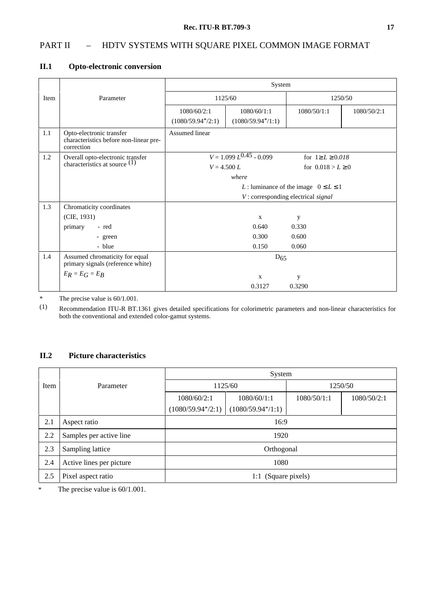# PART II - HDTV SYSTEMS WITH SQUARE PIXEL COMMON IMAGE FORMAT

## **II.1 Opto-electronic conversion**

|      |                                                                                  | System                                                             |                     |                                           |             |
|------|----------------------------------------------------------------------------------|--------------------------------------------------------------------|---------------------|-------------------------------------------|-------------|
| Item | Parameter                                                                        | 1125/60                                                            |                     |                                           | 1250/50     |
|      |                                                                                  | 1080/60/2:1                                                        | 1080/60/1:1         | 1080/50/1:1                               | 1080/50/2:1 |
|      |                                                                                  | $(1080/59.94*/2:1)$                                                | $(1080/59.94*/1:1)$ |                                           |             |
| 1.1  | Opto-electronic transfer<br>characteristics before non-linear pre-<br>correction | Assumed linear                                                     |                     |                                           |             |
| 1.2  | Overall opto-electronic transfer<br>characteristics at source $(1)$              | $V = 1.099 L^{\overline{0.45}} - 0.099$<br>for $1 \ge L \ge 0.018$ |                     |                                           |             |
|      |                                                                                  | $V = 4.500 L$                                                      |                     | for $0.018 > L \ge 0$                     |             |
|      |                                                                                  | where                                                              |                     |                                           |             |
|      |                                                                                  |                                                                    |                     | L: luminance of the image $0 \le L \le 1$ |             |
|      |                                                                                  |                                                                    |                     | V: corresponding electrical signal        |             |
| 1.3  | Chromaticity coordinates                                                         |                                                                    |                     |                                           |             |
|      | (CIE, 1931)                                                                      |                                                                    | $\mathbf{X}$        | y                                         |             |
|      | primary<br>- red                                                                 |                                                                    | 0.640               | 0.330                                     |             |
|      | - green                                                                          | 0.300<br>0.600                                                     |                     |                                           |             |
|      | - blue                                                                           |                                                                    | 0.150               | 0.060                                     |             |
| 1.4  | Assumed chromaticity for equal<br>primary signals (reference white)              |                                                                    | $D_{65}$            |                                           |             |
|      | $E_R = E_G = E_B$                                                                |                                                                    | $\mathbf X$         | y                                         |             |
|      |                                                                                  |                                                                    | 0.3127              | 0.3290                                    |             |

\* The precise value is 60/1.001.

(1) Recommendation ITU-R BT.1361 gives detailed specifications for colorimetric parameters and non-linear characteristics for both the conventional and extended color-gamut systems.

## **II.2 Picture characteristics**

|      |                          | System              |                      |             |             |
|------|--------------------------|---------------------|----------------------|-------------|-------------|
| Item | Parameter                |                     | 1125/60<br>1250/50   |             |             |
|      |                          | 1080/60/2:1         | 1080/60/1:1          | 1080/50/1:1 | 1080/50/2:1 |
|      |                          | $(1080/59.94*/2:1)$ | $(1080/59.94^*/1:1)$ |             |             |
| 2.1  | Aspect ratio             | 16:9                |                      |             |             |
| 2.2  | Samples per active line  | 1920                |                      |             |             |
| 2.3  | Sampling lattice         | Orthogonal          |                      |             |             |
| 2.4  | Active lines per picture | 1080                |                      |             |             |
| 2.5  | Pixel aspect ratio       |                     | 1:1 (Square pixels)  |             |             |

\* The precise value is 60/1.001.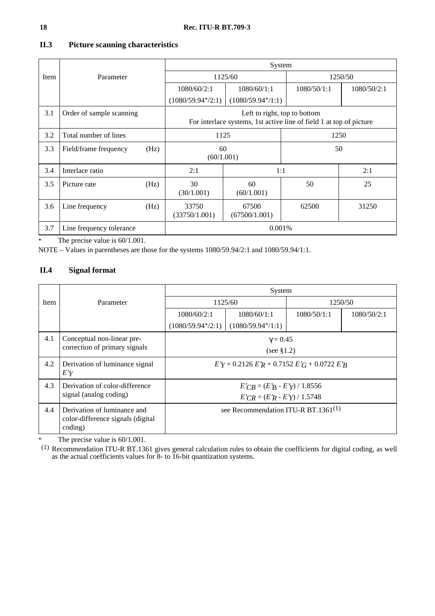|        |                          |      | System                                                                                              |                        |             |             |  |
|--------|--------------------------|------|-----------------------------------------------------------------------------------------------------|------------------------|-------------|-------------|--|
| Item   | Parameter                |      | 1125/60                                                                                             |                        | 1250/50     |             |  |
|        |                          |      | 1080/60/2:1                                                                                         | 1080/60/1:1            | 1080/50/1:1 | 1080/50/2:1 |  |
|        |                          |      | $(1080/59.94*/2:1)$                                                                                 | $(1080/59.94*/1:1)$    |             |             |  |
| 3.1    | Order of sample scanning |      | Left to right, top to bottom<br>For interlace systems, 1st active line of field 1 at top of picture |                        |             |             |  |
| 3.2    | Total number of lines    |      | 1125                                                                                                |                        | 1250        |             |  |
| 3.3    | Field/frame frequency    | (Hz) | 60<br>(60/1.001)                                                                                    |                        | 50          |             |  |
| 3.4    | Interlace ratio          |      | 2:1                                                                                                 | 1:1                    |             | 2:1         |  |
| 3.5    | Picture rate             | (Hz) | 30<br>(30/1.001)                                                                                    | 60<br>(60/1.001)       | 50          | 25          |  |
| 3.6    | Line frequency           | (Hz) | 33750<br>(33750/1.001)                                                                              | 67500<br>(67500/1.001) | 62500       | 31250       |  |
| 3.7    | Line frequency tolerance |      | 0.001%                                                                                              |                        |             |             |  |
| T1.701 |                          |      |                                                                                                     |                        |             |             |  |

## **II.3 Picture scanning characteristics**

\* The precise value is 60/1.001.

NOTE – Values in parentheses are those for the systems 1080/59.94/2:1 and 1080/59.94/1:1.

# **II.4 Signal format**

|                        |                                                                             | System                                       |                                        |             |             |  |
|------------------------|-----------------------------------------------------------------------------|----------------------------------------------|----------------------------------------|-------------|-------------|--|
| <b>Item</b>            | Parameter                                                                   | 1125/60                                      |                                        | 1250/50     |             |  |
|                        |                                                                             | 1080/60/2:1                                  | 1080/60/1:1                            | 1080/50/1:1 | 1080/50/2:1 |  |
|                        |                                                                             | $(1080/59.94*/2:1)$                          | $(1080/59.94*/1:1)$                    |             |             |  |
| 4.1                    | Conceptual non-linear pre-<br>correction of primary signals                 | $\gamma = 0.45$<br>(see $$1.2$ )             |                                        |             |             |  |
| 4.2                    | Derivation of luminance signal<br>E'Y                                       | $E'Y = 0.2126 E'R + 0.7152 E'G + 0.0722 E'R$ |                                        |             |             |  |
| 4.3                    | Derivation of color-difference                                              | $E'CB = (E'B - E'y) / 1.8556$                |                                        |             |             |  |
| signal (analog coding) |                                                                             |                                              | $E'_{CR} = (E'_{R} - E'_{Y}) / 1.5748$ |             |             |  |
| 4.4                    | Derivation of luminance and<br>color-difference signals (digital<br>coding) | see Recommendation ITU-R BT.1361 $(1)$       |                                        |             |             |  |

\* The precise value is 60/1.001.

 $(1)$  Recommendation ITU-R BT.1361 gives general calculation rules to obtain the coefficients for digital coding, as well as the actual coefficients values for 8- to 16-bit quantization systems.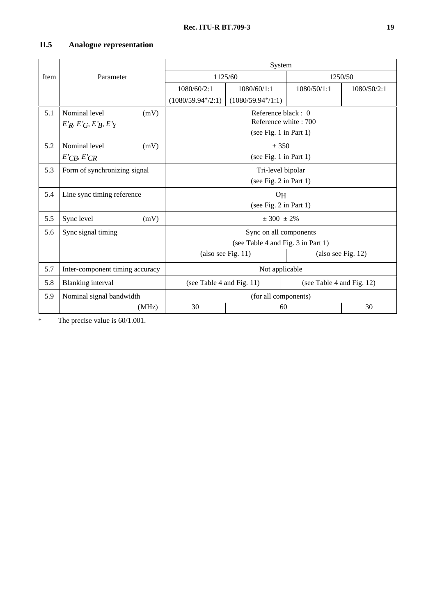# **II.5 Analogue representation**

|      |                                 | System                                                    |                        |             |             |  |
|------|---------------------------------|-----------------------------------------------------------|------------------------|-------------|-------------|--|
| Item | Parameter                       | 1125/60                                                   |                        | 1250/50     |             |  |
|      |                                 | 1080/60/2:1                                               | 1080/60/1:1            | 1080/50/1:1 | 1080/50/2:1 |  |
|      |                                 | $(1080/59.94*/2:1)$                                       | $(1080/59.94*/1:1)$    |             |             |  |
| 5.1  | Nominal level<br>(mV)           | Reference black: 0                                        |                        |             |             |  |
|      | E'R, E'G, E'R, E'Y              | Reference white: 700                                      |                        |             |             |  |
|      |                                 | (see Fig. 1 in Part 1)                                    |                        |             |             |  |
| 5.2  | Nominal level<br>(mV)           |                                                           | ± 350                  |             |             |  |
|      | E'CB, E'CR                      |                                                           | (see Fig. 1 in Part 1) |             |             |  |
| 5.3  | Form of synchronizing signal    | Tri-level bipolar                                         |                        |             |             |  |
|      |                                 | (see Fig. 2 in Part 1)                                    |                        |             |             |  |
| 5.4  | Line sync timing reference      | O <sub>H</sub>                                            |                        |             |             |  |
|      |                                 | (see Fig. 2 in Part 1)                                    |                        |             |             |  |
| 5.5  | Sync level<br>(mV)              |                                                           | ± 300 ± 2%             |             |             |  |
| 5.6  | Sync signal timing              |                                                           | Sync on all components |             |             |  |
|      |                                 | (see Table 4 and Fig. 3 in Part 1)                        |                        |             |             |  |
|      |                                 | (also see Fig. 11)<br>(also see Fig. 12)                  |                        |             |             |  |
| 5.7  | Inter-component timing accuracy | Not applicable                                            |                        |             |             |  |
| 5.8  | <b>Blanking</b> interval        | (see Table 4 and Fig. 11)<br>(see Table 4 and Fig. $12$ ) |                        |             |             |  |
| 5.9  | Nominal signal bandwidth        | (for all components)                                      |                        |             |             |  |
|      | (MHz)                           | 30<br>60                                                  |                        | 30          |             |  |

\* The precise value is 60/1.001.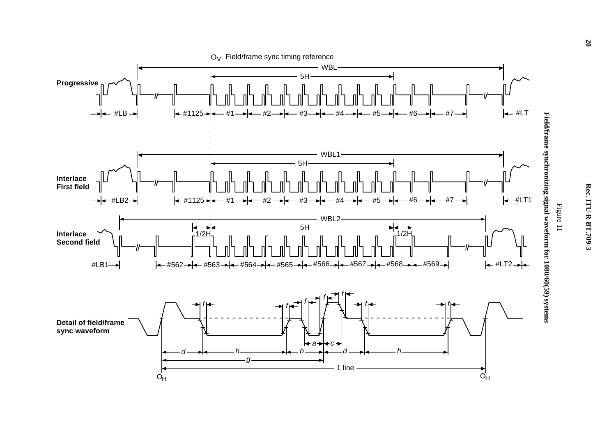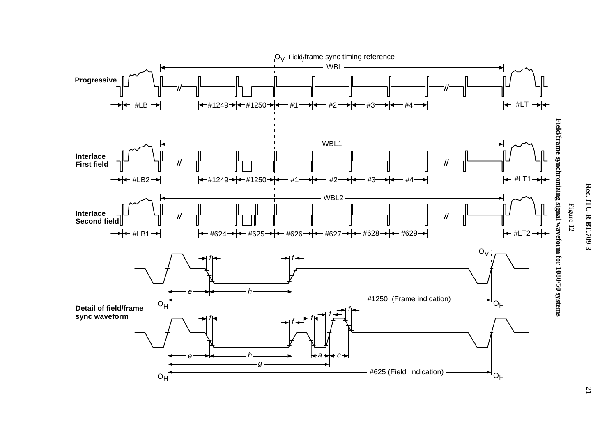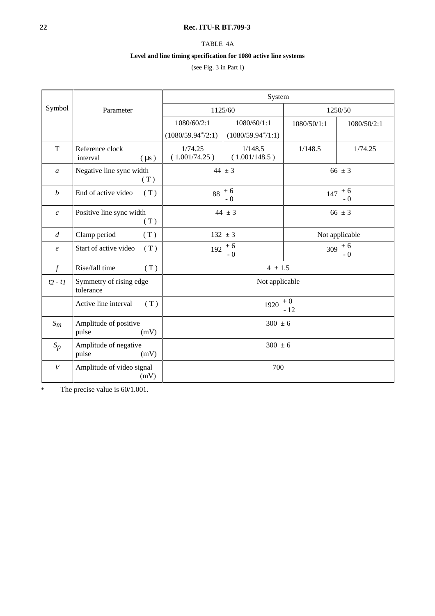## **22 Rec. ITU-R BT.709-3**

TABLE 4A

## **Level and line timing specification for 1080 active line systems**

(see Fig. 3 in Part I)

|                  |                                          | System                   |                          |                   |                   |  |
|------------------|------------------------------------------|--------------------------|--------------------------|-------------------|-------------------|--|
| Symbol           | Parameter                                | 1125/60                  |                          | 1250/50           |                   |  |
|                  |                                          | 1080/60/2:1              | 1080/60/1:1              | 1080/50/1:1       | 1080/50/2:1       |  |
|                  |                                          | $(1080/59.94*/2:1)$      | $(1080/59.94*/1:1)$      |                   |                   |  |
| T                | Reference clock<br>interval<br>$(\mu s)$ | 1/74.25<br>(1.001/74.25) | 1/148.5<br>(1.001/148.5) | 1/148.5           | 1/74.25           |  |
| $\mathfrak{a}$   | Negative line sync width<br>(T)          | 44 $\pm$ 3               |                          | 66 $\pm 3$        |                   |  |
| $\boldsymbol{b}$ | End of active video<br>(T)               | $88 + 6$<br>$-0$         |                          | $147 + 6$<br>$-0$ |                   |  |
| $\boldsymbol{c}$ | Positive line sync width<br>(T)          | 44 $\pm$ 3               |                          | 66 $\pm 3$        |                   |  |
| $\overline{d}$   | Clamp period<br>(T)                      | $132 \pm 3$              |                          | Not applicable    |                   |  |
| $\boldsymbol{e}$ | Start of active video<br>(T)             | $+6$<br>192<br>$-0$      |                          |                   | $309 + 6$<br>$-0$ |  |
| $\int$           | Rise/fall time<br>(T)                    | $4 \pm 1.5$              |                          |                   |                   |  |
| $t2 - t1$        | Symmetry of rising edge<br>tolerance     | Not applicable           |                          |                   |                   |  |
|                  | Active line interval<br>(T)              | 1920                     |                          | $+0$<br>$-12$     |                   |  |
| $S_m$            | Amplitude of positive<br>pulse<br>(mV)   | $300 \pm 6$              |                          |                   |                   |  |
| $S_p$            | Amplitude of negative<br>pulse<br>(mV)   | $300 \pm 6$              |                          |                   |                   |  |
| $\boldsymbol{V}$ | Amplitude of video signal<br>(mV)        | 700                      |                          |                   |                   |  |

\* The precise value is 60/1.001.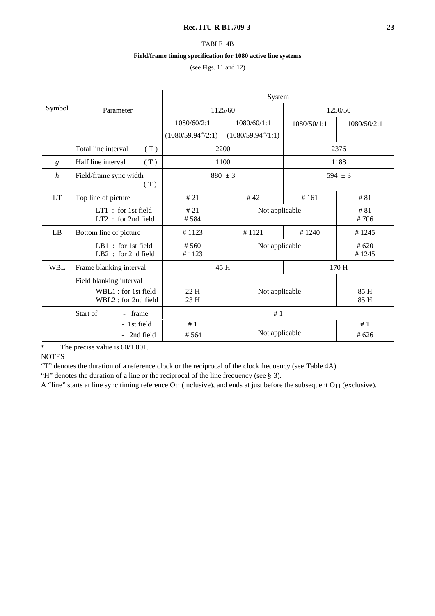### **Rec. ITU-R BT.709-3 23**

## TABLE 4B

## **Field/frame timing specification for 1080 active line systems**

(see Figs. 11 and 12)

|                  |                                              | System              |                     |             |               |
|------------------|----------------------------------------------|---------------------|---------------------|-------------|---------------|
| Symbol           | Parameter                                    | 1125/60             |                     | 1250/50     |               |
|                  |                                              | 1080/60/2:1         | 1080/60/1:1         | 1080/50/1:1 | 1080/50/2:1   |
|                  |                                              | $(1080/59.94*/2:1)$ | $(1080/59.94*/1:1)$ |             |               |
|                  | Total line interval<br>(T)                   | 2200                |                     | 2376        |               |
| g                | Half line interval<br>(T)                    | 1100                |                     | 1188        |               |
| $\boldsymbol{h}$ | Field/frame sync width<br>(T)                | $880 \pm 3$         |                     | 594 $\pm$ 3 |               |
| <b>LT</b>        | Top line of picture                          | #21                 | #42                 | #161        | #81           |
|                  | $LT1$ : for 1st field<br>LT2 : for 2nd field | #21<br>#584         | Not applicable      |             | #81<br>#706   |
| LB               | Bottom line of picture                       | #1123               | #1121               | #1240       | #1245         |
|                  | LB1 : for 1st field<br>$LB2:$ for 2nd field  | #560<br>#1123       | Not applicable      |             | #620<br>#1245 |
| <b>WBL</b>       | Frame blanking interval                      | 45 H                |                     | 170 H       |               |
|                  | Field blanking interval                      |                     |                     |             |               |
|                  | WBL1 : for 1st field<br>WBL2 : for 2nd field | 22H<br>23H          | Not applicable      |             | 85 H<br>85 H  |
|                  | Start of<br>- frame                          | #1                  |                     |             |               |
|                  | - 1st field                                  | #1                  |                     |             | #1            |
|                  | 2nd field<br>$\blacksquare$                  | #564                | Not applicable      |             | #626          |

\* The precise value is 60/1.001.

**NOTES** 

"T" denotes the duration of a reference clock or the reciprocal of the clock frequency (see Table 4A).

"H" denotes the duration of a line or the reciprocal of the line frequency (see § 3).

A "line" starts at line sync timing reference O<sub>H</sub> (inclusive), and ends at just before the subsequent O<sub>H</sub> (exclusive).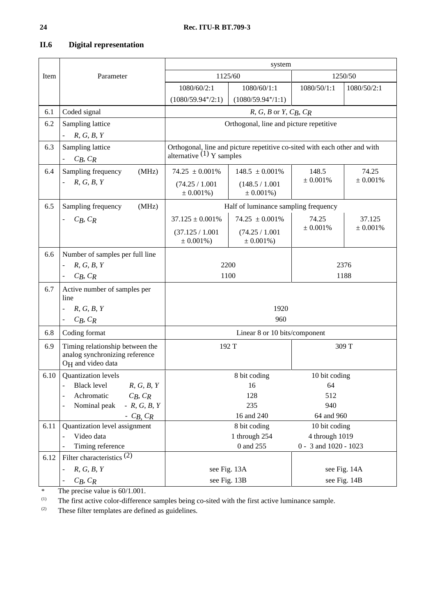| II.6 |  | <b>Digital representation</b> |
|------|--|-------------------------------|
|------|--|-------------------------------|

|      |                                                                 | system                                                                    |                                         |               |                       |  |
|------|-----------------------------------------------------------------|---------------------------------------------------------------------------|-----------------------------------------|---------------|-----------------------|--|
| Item | Parameter                                                       | 1125/60                                                                   |                                         | 1250/50       |                       |  |
|      |                                                                 | 1080/60/2:1                                                               | 1080/60/1:1                             | 1080/50/1:1   | 1080/50/2:1           |  |
|      |                                                                 | $(1080/59.94*/2:1)$                                                       | $(1080/59.94*/1:1)$                     |               |                       |  |
| 6.1  | Coded signal                                                    |                                                                           | $R, G, B$ or $Y, C_R, C_R$              |               |                       |  |
| 6.2  | Sampling lattice                                                |                                                                           | Orthogonal, line and picture repetitive |               |                       |  |
|      | R, G, B, Y                                                      |                                                                           |                                         |               |                       |  |
| 6.3  | Sampling lattice                                                | Orthogonal, line and picture repetitive co-sited with each other and with |                                         |               |                       |  |
|      | $C_R, C_R$                                                      | alternative $(1)$ Y samples                                               |                                         |               |                       |  |
| 6.4  | Sampling frequency<br>(MHz)                                     | $74.25 \pm 0.001\%$                                                       | $148.5 \pm 0.001\%$                     | 148.5         | 74.25                 |  |
|      | R, G, B, Y                                                      | (74.25 / 1.001<br>$± 0.001\%)$                                            | (148.5 / 1.001<br>$\pm 0.001\%$ )       | ± 0.001%      | ± 0.001%              |  |
| 6.5  | (MHz)<br>Sampling frequency                                     |                                                                           | Half of luminance sampling frequency    |               |                       |  |
|      | $C_B, C_R$                                                      | $37.125 \pm 0.001\%$                                                      | $74.25 \pm 0.001\%$                     | 74.25         | 37.125                |  |
|      |                                                                 | (37.125 / 1.001                                                           | (74.25 / 1.001)                         | ± 0.001%      | ± 0.001%              |  |
|      |                                                                 | $± 0.001\%)$                                                              | $± 0.001\%)$                            |               |                       |  |
| 6.6  | Number of samples per full line                                 |                                                                           |                                         |               |                       |  |
|      | R, G, B, Y                                                      | 2200                                                                      |                                         | 2376          |                       |  |
|      | $C_B, C_R$                                                      | 1100                                                                      |                                         |               | 1188                  |  |
| 6.7  | Active number of samples per<br>line                            |                                                                           |                                         |               |                       |  |
|      | R, G, B, Y                                                      | 1920                                                                      |                                         |               |                       |  |
|      | $C_B, C_R$<br>$\blacksquare$                                    |                                                                           | 960                                     |               |                       |  |
| 6.8  | Coding format                                                   |                                                                           | Linear 8 or 10 bits/component           |               |                       |  |
| 6.9  | Timing relationship between the                                 | 192 T                                                                     |                                         | 309 T         |                       |  |
|      | analog synchronizing reference<br>O <sub>H</sub> and video data |                                                                           |                                         |               |                       |  |
| 6.10 | Quantization levels                                             |                                                                           | 8 bit coding                            | 10 bit coding |                       |  |
|      | - Black level<br>R, G, B, Y                                     | 16                                                                        |                                         | 64            |                       |  |
|      | Achromatic<br>$C_B, C_R$<br>$\overline{a}$                      | 128                                                                       |                                         | 512           |                       |  |
|      | $-R, G, B, Y$<br>Nominal peak<br>$\overline{\phantom{0}}$       | 235                                                                       |                                         | 940           |                       |  |
|      | - $C_B$ , $C_R$                                                 | 16 and 240                                                                |                                         | 64 and 960    |                       |  |
| 6.11 | Quantization level assignment<br>Video data                     | 8 bit coding<br>10 bit coding<br>1 through 254<br>4 through 1019          |                                         |               |                       |  |
|      | Timing reference                                                | 0 and 255                                                                 |                                         |               | 0 - 3 and 1020 - 1023 |  |
| 6.12 | Filter characteristics $(2)$                                    |                                                                           |                                         |               |                       |  |
|      | R, G, B, Y                                                      | see Fig. 13A                                                              |                                         | see Fig. 14A  |                       |  |
|      | $C_B, C_R$                                                      | see Fig. 13B                                                              |                                         | see Fig. 14B  |                       |  |

\* The precise value is  $60/1.001$ .<br><sup>(1)</sup> The first active color-difference

(1) The first active color-difference samples being co-sited with the first active luminance sample.<br>  $\frac{1}{2}$  These filter templates are defined as quidelines

These filter templates are defined as guidelines.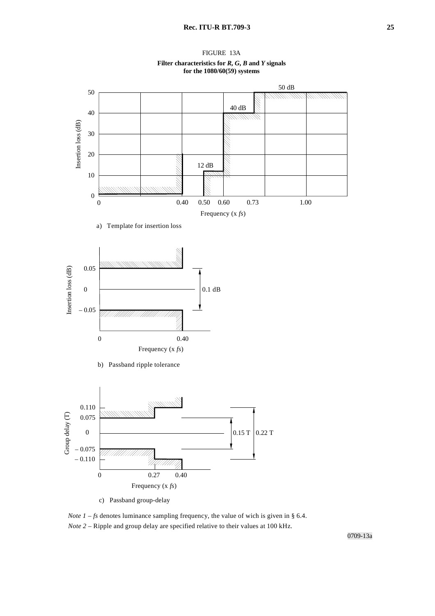

#### **Filter characteristics for** *R***,** *G***,** *B* **and** *Y* **signals for the 1080/60(59) systems**



*Note*  $1 - fs$  denotes luminance sampling frequency, the value of wich is given in § 6.4. *Note 2* – Ripple and group delay are specified relative to their values at 100 kHz.

0709-13a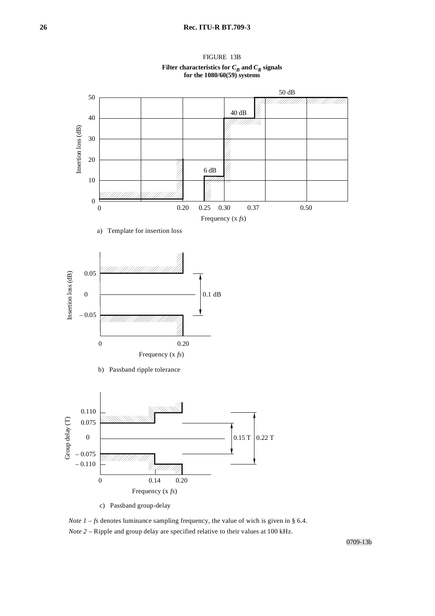

FIGURE 13B Filter characteristics for  $C_B$  and  $C_R$  signals **for the 1080/60(59) systems**

*Note*  $1 - fs$  denotes luminance sampling frequency, the value of wich is given in § 6.4. *Note 2* – Ripple and group delay are specified relative to their values at 100 kHz.

0709-13b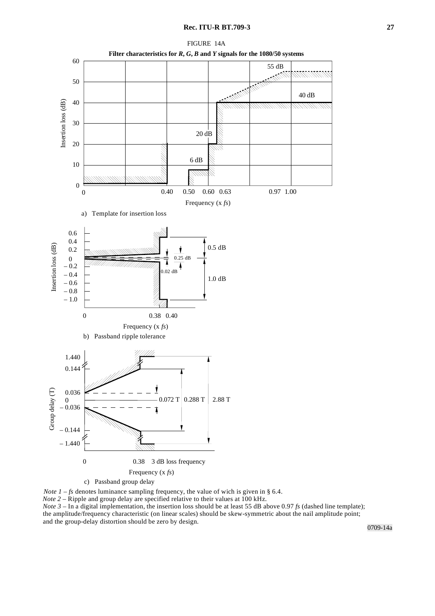

*Note*  $1 - fs$  denotes luminance sampling frequency, the value of wich is given in § 6.4.

*Note 2* – Ripple and group delay are specified relative to their values at 100 kHz.

*Note 3* – In a digital implementation, the insertion loss should be at least 55 dB above 0.97 *fs* (dashed line template); the amplitude/frequency characteristic (on linear scales) should be skew-symmetric about the nail amplitude point; and the group-delay distortion should be zero by design.

0709-14a